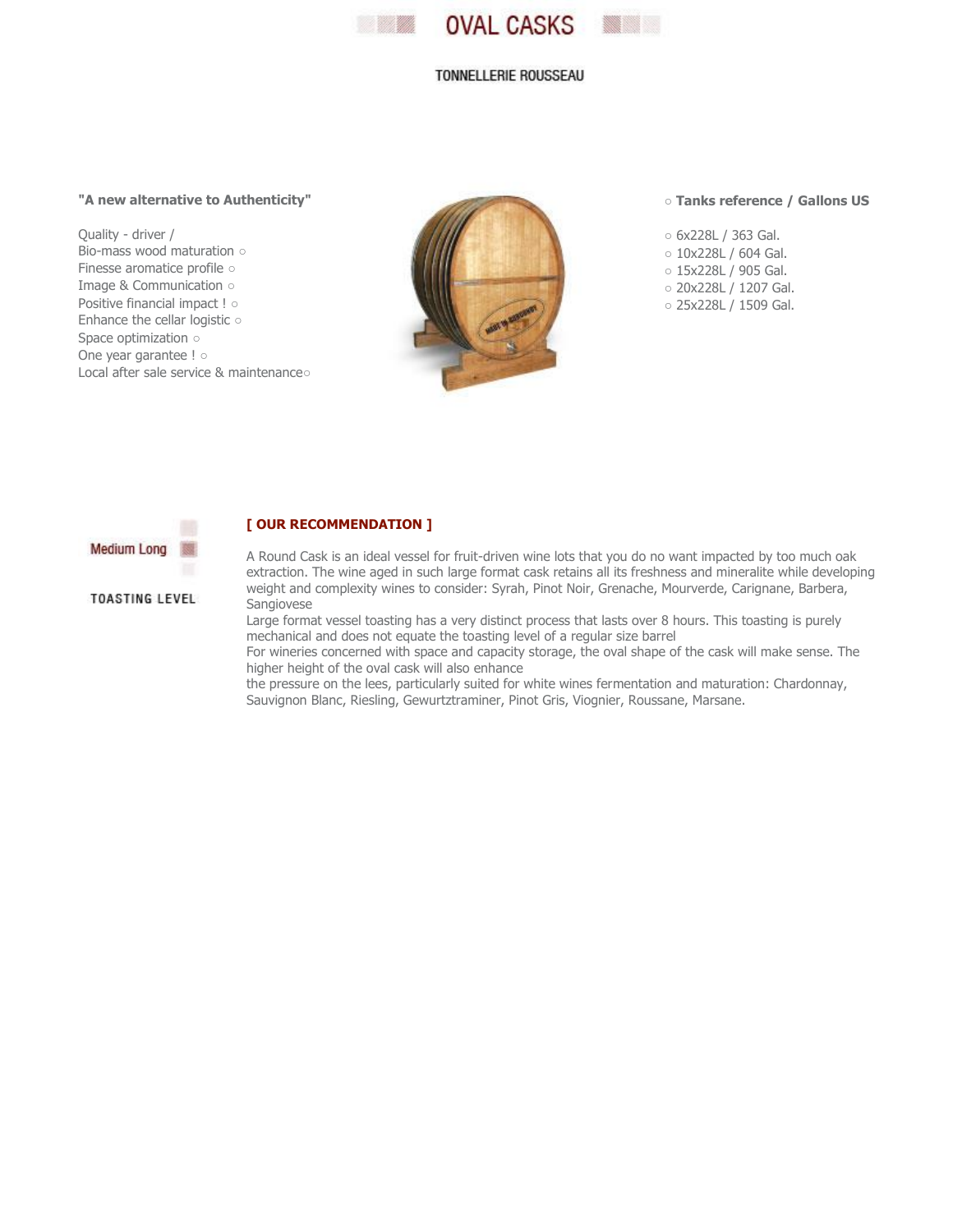

### TONNELLERIE ROUSSEAU

# **"A new alternative to Authenticity"**

Quality - driver / Bio-mass wood maturation ○ Finesse aromatice profile ○ Image & Communication ○ Positive financial impact ! ○ Enhance the cellar logistic ○ Space optimization ○ One year garantee ! o Local after sale service & maintenance○

**[ OUR RECOMMENDATION ]**



#### ○ **Tanks reference / Gallons US**

○ 6x228L / 363 Gal. ○ 10x228L / 604 Gal. ○ 15x228L / 905 Gal. ○ 20x228L / 1207 Gal. ○ 25x228L / 1509 Gal.



## **TOASTING LEVEL**

A Round Cask is an ideal vessel for fruit-driven wine lots that you do no want impacted by too much oak extraction. The wine aged in such large format cask retains all its freshness and mineralite while developing weight and complexity wines to consider: Syrah, Pinot Noir, Grenache, Mourverde, Carignane, Barbera, Sangiovese

Large format vessel toasting has a very distinct process that lasts over 8 hours. This toasting is purely mechanical and does not equate the toasting level of a regular size barrel

For wineries concerned with space and capacity storage, the oval shape of the cask will make sense. The higher height of the oval cask will also enhance

the pressure on the lees, particularly suited for white wines fermentation and maturation: Chardonnay, Sauvignon Blanc, Riesling, Gewurtztraminer, Pinot Gris, Viognier, Roussane, Marsane.